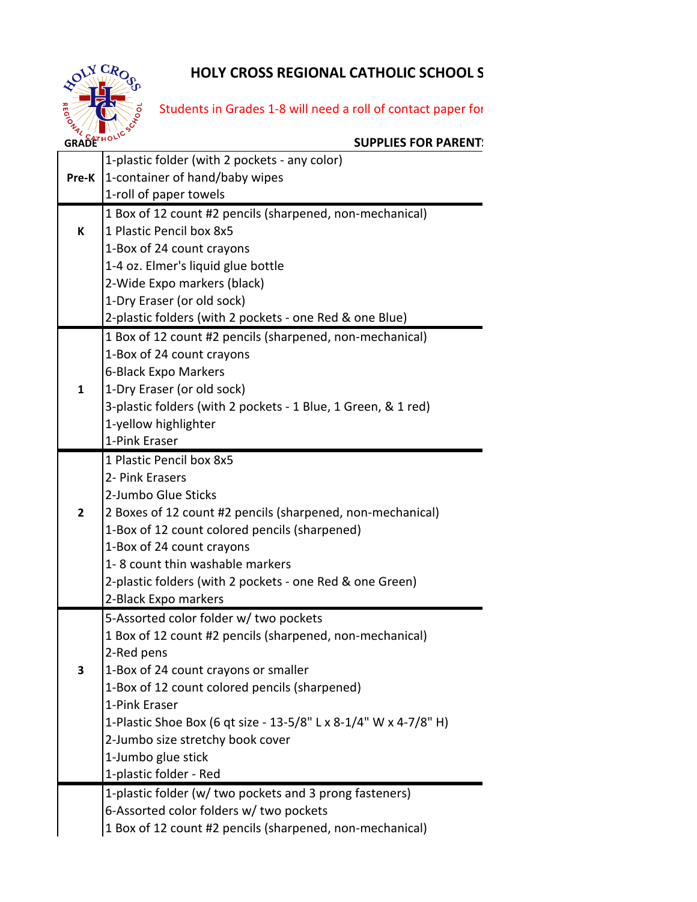# **HOLY CROSS REGIONAL CATHOLIC SCHOOL S**



# Students in Grades 1-8 will need a roll of contact paper for

#### **SUPPLIES FOR PARENT!**

| 1-container of hand/baby wipes<br>Pre-K<br>1-roll of paper towels<br>1 Box of 12 count #2 pencils (sharpened, non-mechanical)<br>1 Plastic Pencil box 8x5<br>K<br>1-Box of 24 count crayons<br>1-4 oz. Elmer's liquid glue bottle<br>2-Wide Expo markers (black)<br>1-Dry Eraser (or old sock)<br>2-plastic folders (with 2 pockets - one Red & one Blue) |  |  |  |  |  |
|-----------------------------------------------------------------------------------------------------------------------------------------------------------------------------------------------------------------------------------------------------------------------------------------------------------------------------------------------------------|--|--|--|--|--|
|                                                                                                                                                                                                                                                                                                                                                           |  |  |  |  |  |
|                                                                                                                                                                                                                                                                                                                                                           |  |  |  |  |  |
|                                                                                                                                                                                                                                                                                                                                                           |  |  |  |  |  |
|                                                                                                                                                                                                                                                                                                                                                           |  |  |  |  |  |
|                                                                                                                                                                                                                                                                                                                                                           |  |  |  |  |  |
|                                                                                                                                                                                                                                                                                                                                                           |  |  |  |  |  |
|                                                                                                                                                                                                                                                                                                                                                           |  |  |  |  |  |
|                                                                                                                                                                                                                                                                                                                                                           |  |  |  |  |  |
|                                                                                                                                                                                                                                                                                                                                                           |  |  |  |  |  |
| 1 Box of 12 count #2 pencils (sharpened, non-mechanical)                                                                                                                                                                                                                                                                                                  |  |  |  |  |  |
| 1-Box of 24 count crayons                                                                                                                                                                                                                                                                                                                                 |  |  |  |  |  |
| 6-Black Expo Markers                                                                                                                                                                                                                                                                                                                                      |  |  |  |  |  |
| 1-Dry Eraser (or old sock)<br>$\mathbf{1}$                                                                                                                                                                                                                                                                                                                |  |  |  |  |  |
| 3-plastic folders (with 2 pockets - 1 Blue, 1 Green, & 1 red)                                                                                                                                                                                                                                                                                             |  |  |  |  |  |
| 1-yellow highlighter                                                                                                                                                                                                                                                                                                                                      |  |  |  |  |  |
| 1-Pink Eraser                                                                                                                                                                                                                                                                                                                                             |  |  |  |  |  |
| 1 Plastic Pencil box 8x5                                                                                                                                                                                                                                                                                                                                  |  |  |  |  |  |
| 2- Pink Erasers                                                                                                                                                                                                                                                                                                                                           |  |  |  |  |  |
| 2-Jumbo Glue Sticks                                                                                                                                                                                                                                                                                                                                       |  |  |  |  |  |
| 2 Boxes of 12 count #2 pencils (sharpened, non-mechanical)<br>2                                                                                                                                                                                                                                                                                           |  |  |  |  |  |
| 1-Box of 12 count colored pencils (sharpened)                                                                                                                                                                                                                                                                                                             |  |  |  |  |  |
| 1-Box of 24 count crayons                                                                                                                                                                                                                                                                                                                                 |  |  |  |  |  |
| 1-8 count thin washable markers                                                                                                                                                                                                                                                                                                                           |  |  |  |  |  |
| 2-plastic folders (with 2 pockets - one Red & one Green)                                                                                                                                                                                                                                                                                                  |  |  |  |  |  |
| 2-Black Expo markers                                                                                                                                                                                                                                                                                                                                      |  |  |  |  |  |
| 5-Assorted color folder w/ two pockets                                                                                                                                                                                                                                                                                                                    |  |  |  |  |  |
| 1 Box of 12 count #2 pencils (sharpened, non-mechanical)                                                                                                                                                                                                                                                                                                  |  |  |  |  |  |
| 2-Red pens<br>3                                                                                                                                                                                                                                                                                                                                           |  |  |  |  |  |
| 1-Box of 24 count crayons or smaller<br>1-Box of 12 count colored pencils (sharpened)                                                                                                                                                                                                                                                                     |  |  |  |  |  |
| 1-Pink Eraser                                                                                                                                                                                                                                                                                                                                             |  |  |  |  |  |
| 1-Plastic Shoe Box (6 qt size - 13-5/8" L x 8-1/4" W x 4-7/8" H)                                                                                                                                                                                                                                                                                          |  |  |  |  |  |
| 2-Jumbo size stretchy book cover                                                                                                                                                                                                                                                                                                                          |  |  |  |  |  |
| 1-Jumbo glue stick                                                                                                                                                                                                                                                                                                                                        |  |  |  |  |  |
| 1-plastic folder - Red                                                                                                                                                                                                                                                                                                                                    |  |  |  |  |  |
| 1-plastic folder (w/ two pockets and 3 prong fasteners)                                                                                                                                                                                                                                                                                                   |  |  |  |  |  |
| 6-Assorted color folders w/ two pockets                                                                                                                                                                                                                                                                                                                   |  |  |  |  |  |
| 1 Box of 12 count #2 pencils (sharpened, non-mechanical)                                                                                                                                                                                                                                                                                                  |  |  |  |  |  |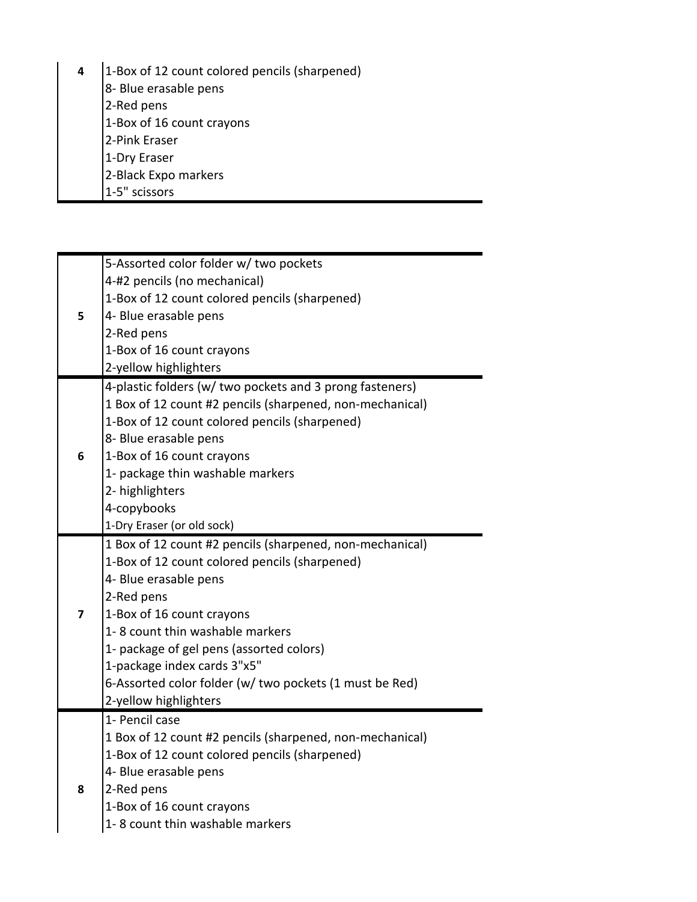- **4** 1-Box of 12 count colored pencils (sharpened)
	- 8- Blue erasable pens
	- 2-Red pens
	- 1-Box of 16 count crayons
	- 2-Pink Eraser
	- 1-Dry Eraser
	- 2-Black Expo markers
	- 1-5" scissors

|                                | 5-Assorted color folder w/ two pockets                   |  |  |  |
|--------------------------------|----------------------------------------------------------|--|--|--|
|                                | 4-#2 pencils (no mechanical)                             |  |  |  |
|                                | 1-Box of 12 count colored pencils (sharpened)            |  |  |  |
| 5                              | 4- Blue erasable pens                                    |  |  |  |
|                                | 2-Red pens                                               |  |  |  |
|                                | 1-Box of 16 count crayons                                |  |  |  |
|                                | 2-yellow highlighters                                    |  |  |  |
|                                | 4-plastic folders (w/ two pockets and 3 prong fasteners) |  |  |  |
|                                | 1 Box of 12 count #2 pencils (sharpened, non-mechanical) |  |  |  |
|                                | 1-Box of 12 count colored pencils (sharpened)            |  |  |  |
|                                | 8- Blue erasable pens                                    |  |  |  |
| 1-Box of 16 count crayons<br>6 |                                                          |  |  |  |
|                                | 1- package thin washable markers                         |  |  |  |
|                                | 2- highlighters                                          |  |  |  |
|                                | 4-copybooks                                              |  |  |  |
|                                | 1-Dry Eraser (or old sock)                               |  |  |  |
|                                | 1 Box of 12 count #2 pencils (sharpened, non-mechanical) |  |  |  |
|                                | 1-Box of 12 count colored pencils (sharpened)            |  |  |  |
|                                | 4- Blue erasable pens                                    |  |  |  |
|                                | 2-Red pens                                               |  |  |  |
| 7                              | 1-Box of 16 count crayons                                |  |  |  |
|                                | 1-8 count thin washable markers                          |  |  |  |
|                                | 1- package of gel pens (assorted colors)                 |  |  |  |
|                                | 1-package index cards 3"x5"                              |  |  |  |
|                                | 6-Assorted color folder (w/ two pockets (1 must be Red)  |  |  |  |
|                                | 2-yellow highlighters                                    |  |  |  |
|                                | 1- Pencil case                                           |  |  |  |
|                                | 1 Box of 12 count #2 pencils (sharpened, non-mechanical) |  |  |  |
|                                | 1-Box of 12 count colored pencils (sharpened)            |  |  |  |
|                                | 4- Blue erasable pens                                    |  |  |  |
| 8                              | 2-Red pens                                               |  |  |  |
|                                | 1-Box of 16 count crayons                                |  |  |  |
|                                | 1-8 count thin washable markers                          |  |  |  |

Over → Over → Over → Over → Over → Over → Over → Over → Over → Over → Over → Over → Over → Over → Over → Over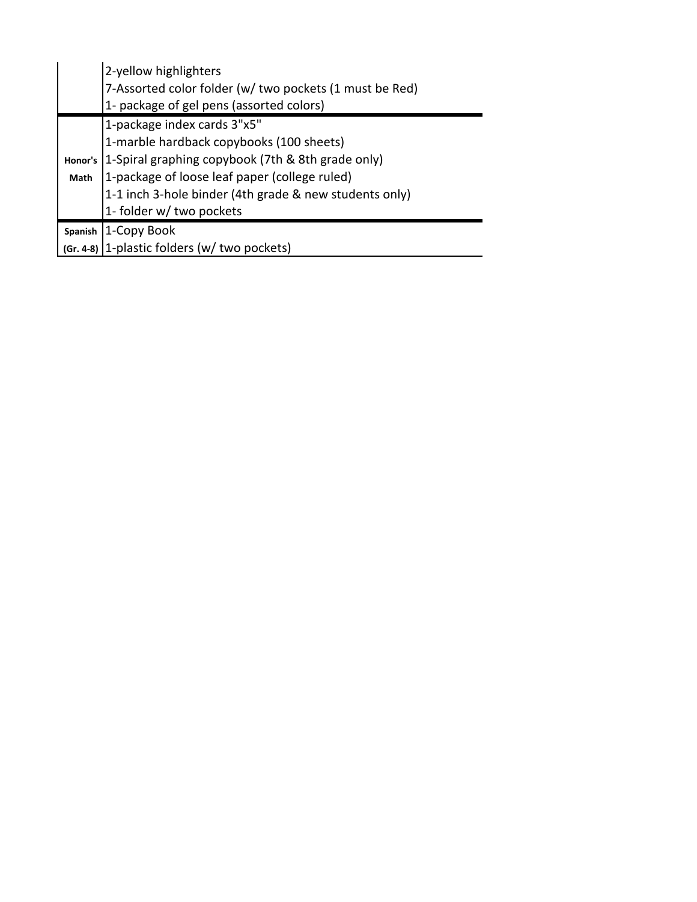|                | 2-yellow highlighters                                   |  |  |  |  |
|----------------|---------------------------------------------------------|--|--|--|--|
|                | 7-Assorted color folder (w/ two pockets (1 must be Red) |  |  |  |  |
|                | 1- package of gel pens (assorted colors)                |  |  |  |  |
|                | 1-package index cards 3"x5"                             |  |  |  |  |
|                | 1-marble hardback copybooks (100 sheets)                |  |  |  |  |
| Honor's        | 1-Spiral graphing copybook (7th & 8th grade only)       |  |  |  |  |
| Math           | 1-package of loose leaf paper (college ruled)           |  |  |  |  |
|                | 1-1 inch 3-hole binder (4th grade & new students only)  |  |  |  |  |
|                | 1- folder w/ two pockets                                |  |  |  |  |
| <b>Spanish</b> | 1-Copy Book                                             |  |  |  |  |
|                | (Gr. 4-8) 1-plastic folders (w/ two pockets)            |  |  |  |  |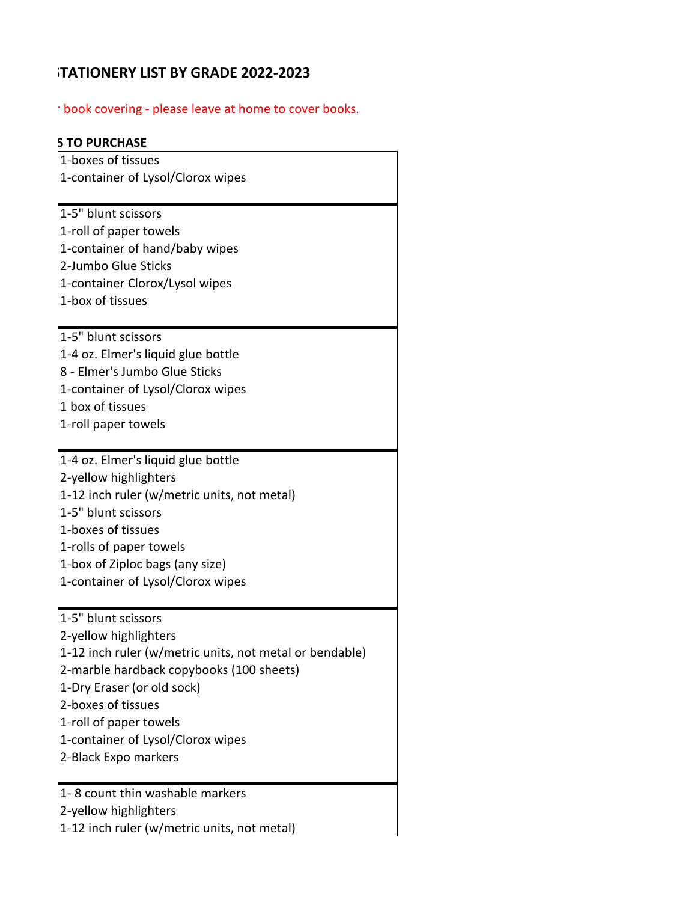# **HATIONERY LIST BY GRADE 2022-2023**

 $\gamma$  book covering - please leave at home to cover books.

# **STO PURCHASE**

| 1-boxes of tissues                                                     |  |  |  |  |
|------------------------------------------------------------------------|--|--|--|--|
| 1-container of Lysol/Clorox wipes                                      |  |  |  |  |
| 1-5" blunt scissors                                                    |  |  |  |  |
| 1-roll of paper towels                                                 |  |  |  |  |
| 1-container of hand/baby wipes                                         |  |  |  |  |
| 2-Jumbo Glue Sticks                                                    |  |  |  |  |
| 1-container Clorox/Lysol wipes                                         |  |  |  |  |
| 1-box of tissues                                                       |  |  |  |  |
|                                                                        |  |  |  |  |
| 1-5" blunt scissors                                                    |  |  |  |  |
| 1-4 oz. Elmer's liquid glue bottle                                     |  |  |  |  |
| 8 - Elmer's Jumbo Glue Sticks                                          |  |  |  |  |
| 1-container of Lysol/Clorox wipes                                      |  |  |  |  |
| 1 box of tissues                                                       |  |  |  |  |
| 1-roll paper towels                                                    |  |  |  |  |
| 1-4 oz. Elmer's liquid glue bottle                                     |  |  |  |  |
| 2-yellow highlighters                                                  |  |  |  |  |
| 1-12 inch ruler (w/metric units, not metal)                            |  |  |  |  |
| 1-5" blunt scissors                                                    |  |  |  |  |
| 1-boxes of tissues                                                     |  |  |  |  |
| 1-rolls of paper towels                                                |  |  |  |  |
| 1-box of Ziploc bags (any size)                                        |  |  |  |  |
| 1-container of Lysol/Clorox wipes                                      |  |  |  |  |
|                                                                        |  |  |  |  |
| 1-5" blunt scissors                                                    |  |  |  |  |
| 2-yellow highlighters                                                  |  |  |  |  |
| 1-12 inch ruler (w/metric units, not metal or bendable)                |  |  |  |  |
| 2-marble hardback copybooks (100 sheets)<br>1-Dry Eraser (or old sock) |  |  |  |  |
| 2-boxes of tissues                                                     |  |  |  |  |
| 1-roll of paper towels                                                 |  |  |  |  |
| 1-container of Lysol/Clorox wipes                                      |  |  |  |  |
| 2-Black Expo markers                                                   |  |  |  |  |
|                                                                        |  |  |  |  |
| 1-8 count thin washable markers                                        |  |  |  |  |
| 2-yellow highlighters                                                  |  |  |  |  |
| 1-12 inch ruler (w/metric units, not metal)                            |  |  |  |  |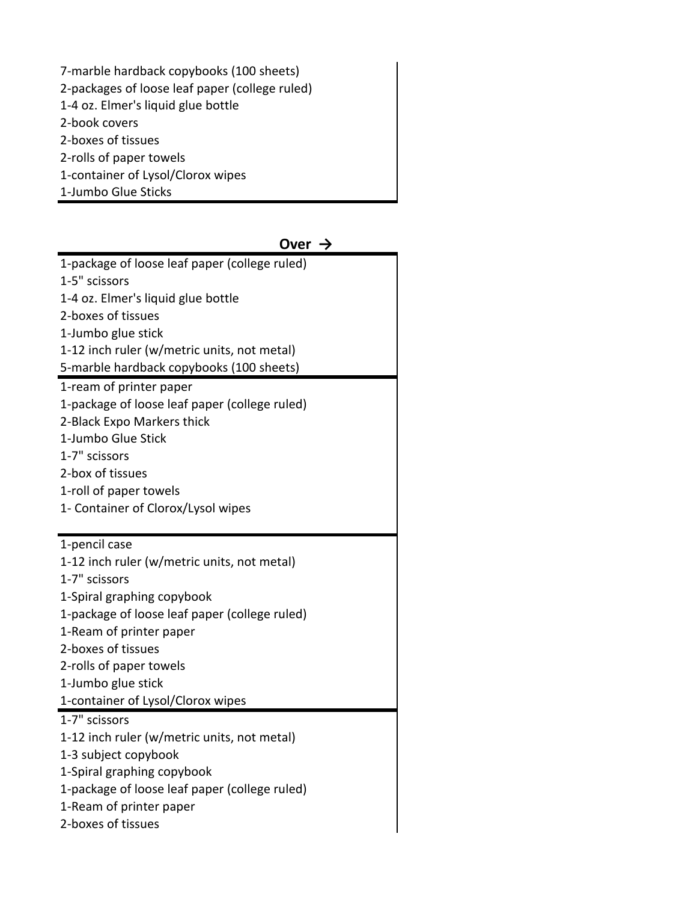7-marble hardback copybooks (100 sheets) 2-packages of loose leaf paper (college ruled) 1-4 oz. Elmer's liquid glue bottle 2-book covers 2-boxes of tissues 2-rolls of paper towels 1-container of Lysol/Clorox wipes 1-Jumbo Glue Sticks

| Over $\rightarrow$                            |
|-----------------------------------------------|
| 1-package of loose leaf paper (college ruled) |
| 1-5" scissors                                 |
| 1-4 oz. Elmer's liquid glue bottle            |
| 2-boxes of tissues                            |
| 1-Jumbo glue stick                            |
| 1-12 inch ruler (w/metric units, not metal)   |
| 5-marble hardback copybooks (100 sheets)      |
| 1-ream of printer paper                       |
| 1-package of loose leaf paper (college ruled) |
| 2-Black Expo Markers thick                    |
| 1-Jumbo Glue Stick                            |
| 1-7" scissors                                 |
| 2-box of tissues                              |
| 1-roll of paper towels                        |
| 1- Container of Clorox/Lysol wipes            |
|                                               |
| 1-pencil case                                 |
| 1-12 inch ruler (w/metric units, not metal)   |
| 1-7" scissors                                 |
| 1-Spiral graphing copybook                    |
| 1-package of loose leaf paper (college ruled) |
| 1-Ream of printer paper                       |
| 2-boxes of tissues                            |
| 2-rolls of paper towels                       |
| 1-Jumbo glue stick                            |
| 1-container of Lysol/Clorox wipes             |
| 1-7" scissors                                 |
| 1-12 inch ruler (w/metric units, not metal)   |
| 1-3 subject copybook                          |
| 1-Spiral graphing copybook                    |
| 1-package of loose leaf paper (college ruled) |
| 1-Ream of printer paper                       |
| 2-boxes of tissues                            |
|                                               |